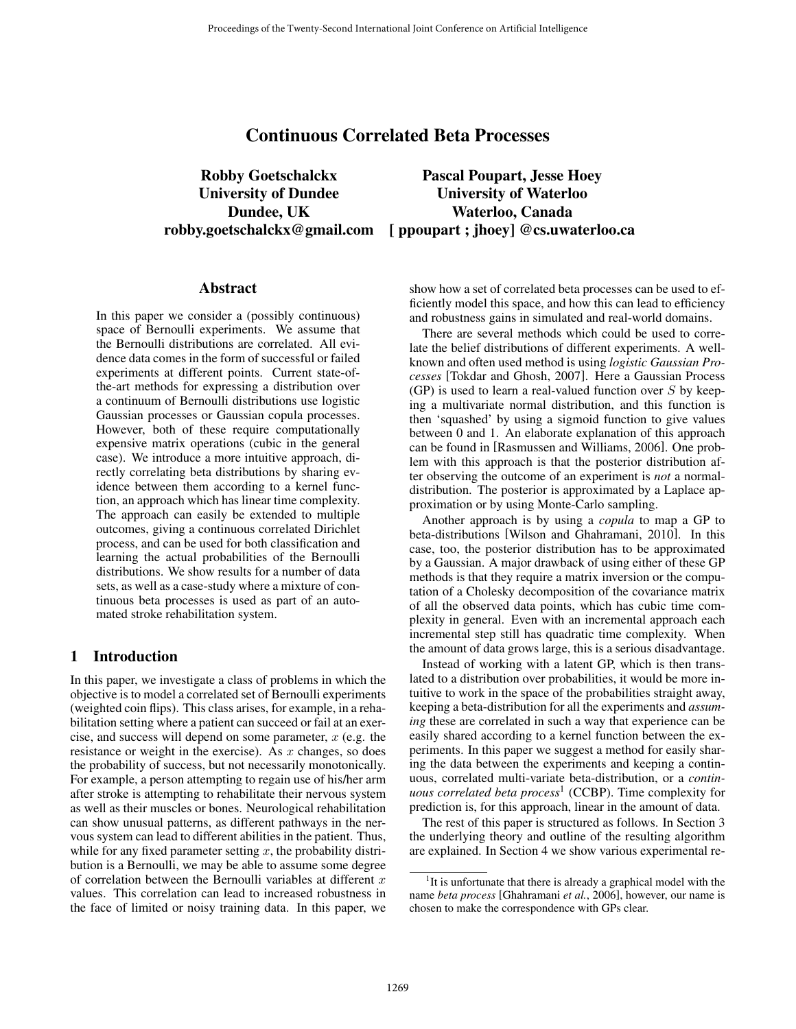# Continuous Correlated Beta Processes

Robby Goetschalckx Pascal Poupart, Jesse Hoey University of Dundee University of Waterloo Dundee, UK Waterloo, Canada robby.goetschalckx@gmail.com [ ppoupart ; jhoey] @cs.uwaterloo.ca

#### Abstract

In this paper we consider a (possibly continuous) space of Bernoulli experiments. We assume that the Bernoulli distributions are correlated. All evidence data comes in the form of successful or failed experiments at different points. Current state-ofthe-art methods for expressing a distribution over a continuum of Bernoulli distributions use logistic Gaussian processes or Gaussian copula processes. However, both of these require computationally expensive matrix operations (cubic in the general case). We introduce a more intuitive approach, directly correlating beta distributions by sharing evidence between them according to a kernel function, an approach which has linear time complexity. The approach can easily be extended to multiple outcomes, giving a continuous correlated Dirichlet process, and can be used for both classification and learning the actual probabilities of the Bernoulli distributions. We show results for a number of data sets, as well as a case-study where a mixture of continuous beta processes is used as part of an automated stroke rehabilitation system.

# 1 Introduction

In this paper, we investigate a class of problems in which the objective is to model a correlated set of Bernoulli experiments (weighted coin flips). This class arises, for example, in a rehabilitation setting where a patient can succeed or fail at an exercise, and success will depend on some parameter,  $x$  (e.g. the resistance or weight in the exercise). As  $x$  changes, so does the probability of success, but not necessarily monotonically. For example, a person attempting to regain use of his/her arm after stroke is attempting to rehabilitate their nervous system as well as their muscles or bones. Neurological rehabilitation can show unusual patterns, as different pathways in the nervous system can lead to different abilities in the patient. Thus, while for any fixed parameter setting  $x$ , the probability distribution is a Bernoulli, we may be able to assume some degree of correlation between the Bernoulli variables at different  $x$ of correlation between the Bernoulli variables at different  $x$  values. This correlation can lead to increased robustness in the face of limited or noisy training data. In this paper, we show how a set of correlated beta processes can be used to efficiently model this space, and how this can lead to efficiency and robustness gains in simulated and real-world domains.

There are several methods which could be used to correlate the belief distributions of different experiments. A wellknown and often used method is using *logistic Gaussian Processes* [Tokdar and Ghosh, 2007]. Here a Gaussian Process (GP) is used to learn a real-valued function over  $S$  by keeping a multivariate normal distribution, and this function is then 'squashed' by using a sigmoid function to give values between 0 and 1. An elaborate explanation of this approach can be found in [Rasmussen and Williams, 2006]. One problem with this approach is that the posterior distribution after observing the outcome of an experiment is *not* a normaldistribution. The posterior is approximated by a Laplace approximation or by using Monte-Carlo sampling.

Another approach is by using a *copula* to map a GP to beta-distributions [Wilson and Ghahramani, 2010]. In this case, too, the posterior distribution has to be approximated by a Gaussian. A major drawback of using either of these GP methods is that they require a matrix inversion or the computation of a Cholesky decomposition of the covariance matrix of all the observed data points, which has cubic time complexity in general. Even with an incremental approach each incremental step still has quadratic time complexity. When the amount of data grows large, this is a serious disadvantage.

Instead of working with a latent GP, which is then translated to a distribution over probabilities, it would be more intuitive to work in the space of the probabilities straight away, keeping a beta-distribution for all the experiments and *assuming* these are correlated in such a way that experience can be easily shared according to a kernel function between the experiments. In this paper we suggest a method for easily sharing the data between the experiments and keeping a continuous, correlated multi-variate beta-distribution, or a *continuous correlated beta process<sup>1</sup>* (CCBP). Time complexity for prediction is, for this approach, linear in the amount of data.

The rest of this paper is structured as follows. In Section 3 the underlying theory and outline of the resulting algorithm are explained. In Section 4 we show various experimental re-

<sup>&</sup>lt;sup>1</sup>It is unfortunate that there is already a graphical model with the name *beta process* [Ghahramani *et al.*, 2006], however, our name is chosen to make the correspondence with GPs clear.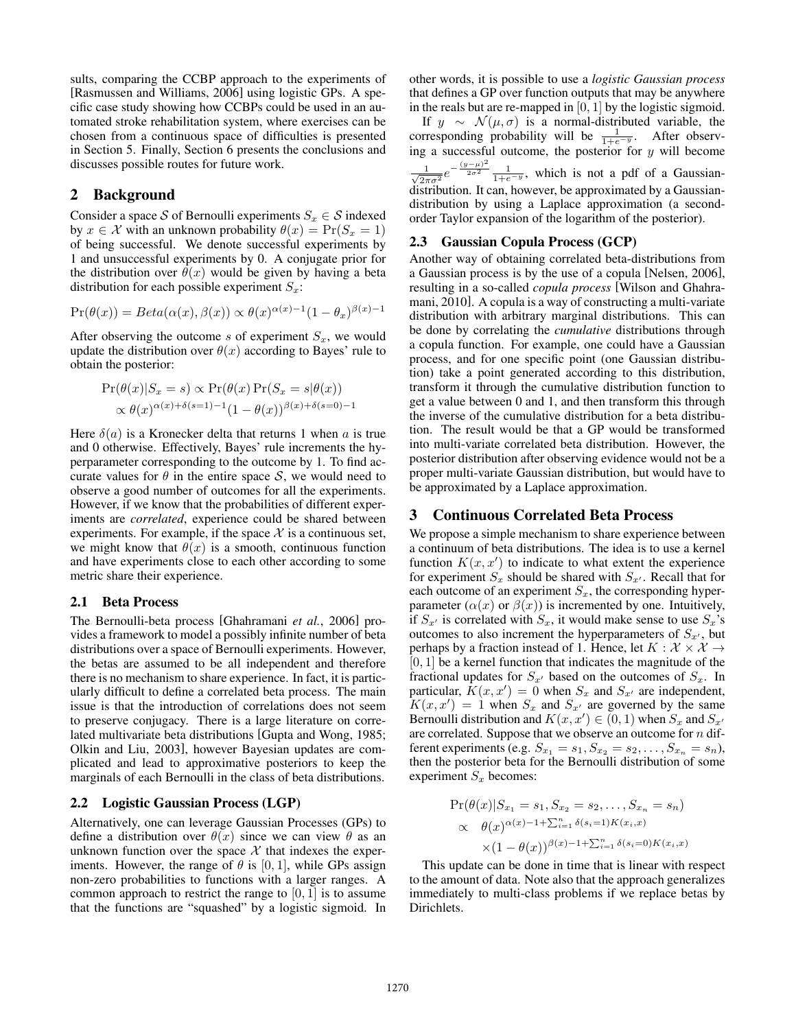sults, comparing the CCBP approach to the experiments of [Rasmussen and Williams, 2006] using logistic GPs. A specific case study showing how CCBPs could be used in an automated stroke rehabilitation system, where exercises can be chosen from a continuous space of difficulties is presented in Section 5. Finally, Section 6 presents the conclusions and discusses possible routes for future work.

# 2 Background

Consider a space S of Bernoulli experiments  $S_x \in S$  indexed by  $x \in \mathcal{X}$  with an unknown probability  $\theta(x) = \Pr(S_x = 1)$ of being successful. We denote successful experiments by 1 and unsuccessful experiments by 0. A conjugate prior for the distribution over  $\theta(x)$  would be given by having a beta distribution for each possible experiment  $S_x$ :

$$
Pr(\theta(x)) = Beta(\alpha(x), \beta(x)) \propto \theta(x)^{\alpha(x)-1} (1 - \theta_x)^{\beta(x)-1}
$$

After observing the outcome  $s$  of experiment  $S_x$ , we would update the distribution over  $\theta(x)$  according to Bayes' rule to obtain the posterior:

$$
\Pr(\theta(x)|S_x = s) \propto \Pr(\theta(x)\Pr(S_x = s|\theta(x))
$$
  
 
$$
\propto \theta(x)^{\alpha(x)+\delta(s=1)-1}(1-\theta(x))^{\beta(x)+\delta(s=0)-1}
$$

Here  $\delta(a)$  is a Kronecker delta that returns 1 when a is true and 0 otherwise. Effectively, Bayes' rule increments the hyperparameter corresponding to the outcome by 1. To find accurate values for  $\theta$  in the entire space S, we would need to observe a good number of outcomes for all the experiments. However, if we know that the probabilities of different experiments are *correlated*, experience could be shared between experiments. For example, if the space  $X$  is a continuous set, we might know that  $\theta(x)$  is a smooth, continuous function and have experiments close to each other according to some metric share their experience.

### 2.1 Beta Process

The Bernoulli-beta process [Ghahramani *et al.*, 2006] provides a framework to model a possibly infinite number of beta distributions over a space of Bernoulli experiments. However, the betas are assumed to be all independent and therefore there is no mechanism to share experience. In fact, it is particularly difficult to define a correlated beta process. The main issue is that the introduction of correlations does not seem to preserve conjugacy. There is a large literature on correlated multivariate beta distributions [Gupta and Wong, 1985; Olkin and Liu, 2003], however Bayesian updates are complicated and lead to approximative posteriors to keep the marginals of each Bernoulli in the class of beta distributions.

# 2.2 Logistic Gaussian Process (LGP)

Alternatively, one can leverage Gaussian Processes (GPs) to define a distribution over  $\theta(x)$  since we can view  $\theta$  as an unknown function over the space  $X$  that indexes the experiments. However, the range of  $\theta$  is [0, 1], while GPs assign non-zero probabilities to functions with a larger ranges. A common approach to restrict the range to  $[0, 1]$  is to assume that the functions are "squashed" by a logistic sigmoid. In other words, it is possible to use a *logistic Gaussian process* that defines a GP over function outputs that may be anywhere

in the reals but are re-mapped in [0, 1] by the logistic sigmoid.<br>If  $y \sim \mathcal{N}(\mu, \sigma)$  is a normal-distributed variable, the If  $y \sim \mathcal{N}(\mu, \sigma)$  is a normal-distributed variable, the corresponding probability will be  $\frac{1}{1+e^{-y}}$ . After observing a successful outcome, the posterior for  $y$  will become  $\frac{1}{\sqrt{2\pi\sigma^2}}e^{-\frac{(y-\mu)^2}{2\sigma^2}}\frac{1}{1+e^{-y}}$ , which is not a pdf of a Gaussiandistribution. It can, however, be approximated by a Gaussiandistribution by using a Laplace approximation (a secondorder Taylor expansion of the logarithm of the posterior).

### 2.3 Gaussian Copula Process (GCP)

Another way of obtaining correlated beta-distributions from a Gaussian process is by the use of a copula [Nelsen, 2006], resulting in a so-called *copula process* [Wilson and Ghahramani, 2010]. A copula is a way of constructing a multi-variate distribution with arbitrary marginal distributions. This can be done by correlating the *cumulative* distributions through a copula function. For example, one could have a Gaussian process, and for one specific point (one Gaussian distribution) take a point generated according to this distribution, transform it through the cumulative distribution function to get a value between 0 and 1, and then transform this through the inverse of the cumulative distribution for a beta distribution. The result would be that a GP would be transformed into multi-variate correlated beta distribution. However, the posterior distribution after observing evidence would not be a proper multi-variate Gaussian distribution, but would have to be approximated by a Laplace approximation.

# 3 Continuous Correlated Beta Process

We propose a simple mechanism to share experience between a continuum of beta distributions. The idea is to use a kernel function  $K(x, x')$  to indicate to what extent the experience<br>for experiment S, should be shared with  $S_{\alpha'}$ . Recall that for for experiment  $S_x$  should be shared with  $S_{x'}$ . Recall that for each outcome of an experiment  $S_{-}$  the corresponding hypereach outcome of an experiment  $S_x$ , the corresponding hyperparameter  $(\alpha(x)$  or  $\beta(x))$  is incremented by one. Intuitively, if  $S_{x'}$  is correlated with  $S_x$ , it would make sense to use  $S_x$ 's<br>outcomes to also increment the hyperparameters of  $S_{x'}$  but outcomes to also increment the hyperparameters of  $S_{x}$ , but<br>perhans by a fraction instead of 1. Hence, let  $K: X \times X \rightarrow$ perhaps by a fraction instead of 1. Hence, let  $K : \mathcal{X} \times \mathcal{X} \rightarrow$  $[0, 1]$  be a kernel function that indicates the magnitude of the fractional updates for  $S_{x'}$  based on the outcomes of  $S_x$ . In particular  $K(x, x') = 0$  when  $S_x$  and  $S_{x'}$  are independent particular,  $K(x, x') = 0$  when  $S_x$  and  $S_{x'}$  are independent,<br> $K(x, x') = 1$  when  $S_y$  and  $S_{x'}$  are governed by the same  $K(x, x') = 1$  when  $S_x$  and  $S_{x'}$  are governed by the same<br>Bernoulli distribution and  $K(x, x') \in (0, 1)$  when  $S_x$  and  $S_{x'}$ Bernoulli distribution and  $K(x, x') \in (0, 1)$  when  $S_x$  and  $S_{x'}$ <br>are correlated. Suppose that we observe an outcome for n difare correlated. Suppose that we observe an outcome for  $n$  different experiments (e.g.  $S_{x_1} = s_1, S_{x_2} = s_2, \ldots, S_{x_n} = s_n$ ), then the posterior beta for the Bernoulli distribution of some experiment  $S_x$  becomes:

$$
\Pr(\theta(x)|S_{x_1} = s_1, S_{x_2} = s_2, \dots, S_{x_n} = s_n)
$$
  
 
$$
\propto \theta(x)^{\alpha(x)-1+\sum_{i=1}^n \delta(s_i=1)K(x_i,x)}
$$
  
 
$$
\times (1-\theta(x))^{\beta(x)-1+\sum_{i=1}^n \delta(s_i=0)K(x_i,x)}
$$

 $\times (1 - \theta(x))^{\beta(x)-1+\sum_{i=1}^{n} \delta(s_i=0)K(x_i,x)}$ <br>This update can be done in time that is linear with respect to the amount of data. Note also that the approach generalizes immediately to multi-class problems if we replace betas by Dirichlets.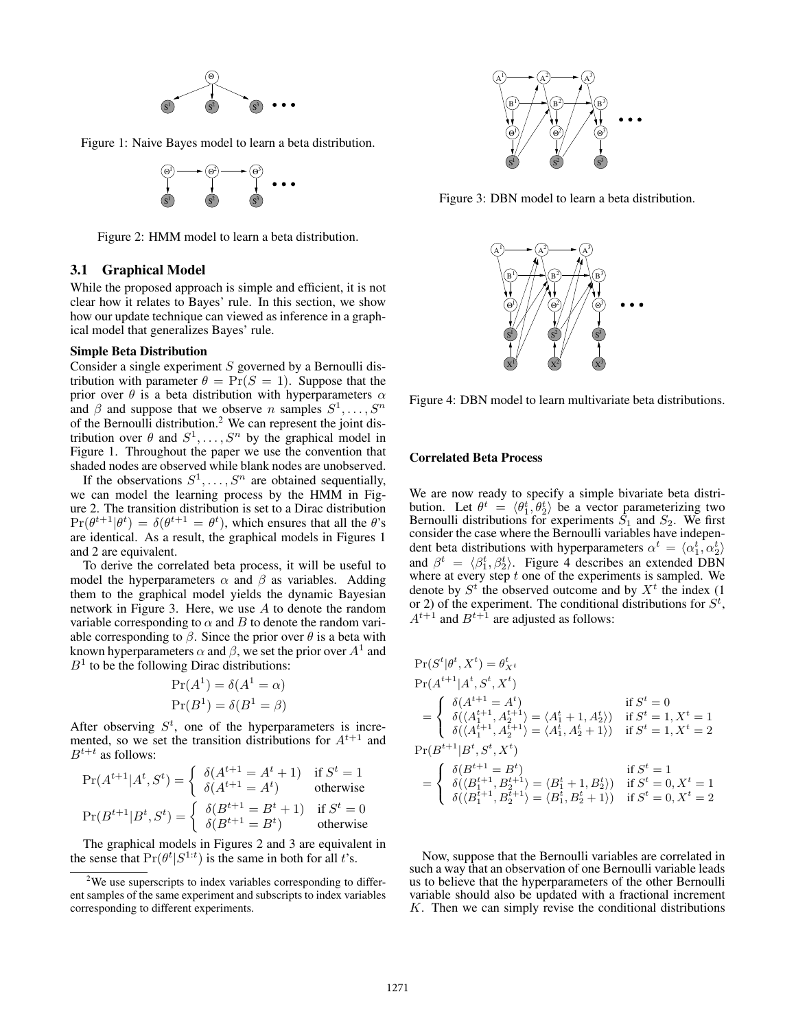

Figure 1: Naive Bayes model to learn a beta distribution.



Figure 2: HMM model to learn a beta distribution.

#### 3.1 Graphical Model

While the proposed approach is simple and efficient, it is not clear how it relates to Bayes' rule. In this section, we show how our update technique can viewed as inference in a graphical model that generalizes Bayes' rule.

#### Simple Beta Distribution

Consider a single experiment S governed by a Bernoulli distribution with parameter  $\theta = \Pr(S = 1)$ . Suppose that the prior over  $\theta$  is a beta distribution with hyperparameters  $\alpha$  and  $\beta$  and suppose that we observe *n* samples  $S^1, \ldots, S^n$ and  $\beta$  and suppose that we observe *n* samples  $S^1, \ldots, S^n$  of the Bernoulli distribution.<sup>2</sup> We can represent the joint distribution over  $\theta$  and  $S^1, \ldots, S^n$  by the graphical model in<br>Figure 1. Throughout the paper we use the convention that Figure 1. Throughout the paper we use the convention that shaded nodes are observed while blank nodes are unobserved.

If the observations  $S^1, \ldots, S^n$  are obtained sequentially, we can model the learning process by the HMM in Figure 2. The transition distribution is set to a Dirac distribution  $\Pr(\theta^{t+1}|\theta^t) = \delta(\theta^{t+1} = \theta^t)$ , which ensures that all the  $\theta$ 's are identical. As a result, the graphical models in Figures 1 are identical. As a result, the graphical models in Figures 1 and 2 are equivalent.

To derive the correlated beta process, it will be useful to model the hyperparameters  $\alpha$  and  $\beta$  as variables. Adding them to the graphical model yields the dynamic Bayesian network in Figure 3. Here, we use A to denote the random variable corresponding to  $\alpha$  and B to denote the random variable corresponding to  $\beta$ . Since the prior over  $\theta$  is a beta with known hyperparameters  $\alpha$  and  $\beta$ , we set the prior over  $A^1$  and  $B<sup>1</sup>$  to be the following Dirac distributions:

$$
Pr(A1) = \delta(A1 = \alpha)
$$
  
Pr(B<sup>1</sup>) = \delta(B<sup>1</sup> = \beta)

After observing  $S^t$ , one of the hyperparameters is incre-<br>mented so we set the transition distributions for  $A^{t+1}$  and mented, so we set the transition distributions for  $A^{t+1}$  and  $B^{t+t}$  as follows:

$$
\Pr(A^{t+1}|A^t, S^t) = \begin{cases} \delta(A^{t+1} = A^t + 1) & \text{if } S^t = 1 \\ \delta(A^{t+1} = A^t) & \text{otherwise} \end{cases}
$$

$$
\Pr(B^{t+1}|B^t, S^t) = \begin{cases} \delta(B^{t+1} = B^t + 1) & \text{if } S^t = 0 \\ \delta(B^{t+1} = B^t) & \text{otherwise} \end{cases}
$$
  
The graphical models in Figures 2 and 3 are equivalent in

the sense that  $Pr(\theta^t | S^{1:t})$  is the same in both for all t's.



Figure 3: DBN model to learn a beta distribution.



Figure 4: DBN model to learn multivariate beta distributions.

#### Correlated Beta Process

We are now ready to specify a simple bivariate beta distribution. Let  $\theta^t = \langle \theta_1^t, \theta_2^t \rangle$  be a vector parameterizing two Bernoulli distributions for experiments  $S_1$  and  $S_2$ . We first Bernoulli distributions for experiments  $S_1$  and  $S_2$ . We first consider the case where the Bernoulli variables have independent beta distributions with hyperparameters  $\alpha^t = \langle \alpha_1^t, \alpha_2^t \rangle$ <br>and  $\beta^t = \langle \beta_1^t, \beta_2^t \rangle$ . Figure 4 describes an extended DBN and  $\beta^t = \langle \beta_1^t, \beta_2^t \rangle$ . Figure 4 describes an extended DBN where at every step t one of the experiments is sampled. We where at every step  $t$  one of the experiments is sampled. We denote by  $S<sup>t</sup>$  the observed outcome and by  $X<sup>t</sup>$  the index (1) or 2) of the experiment. The conditional distributions for  $S^t$ ,<br> $A^{t+1}$  and  $B^{t+1}$  are adjusted as follows:  $A^{t+1}$  and  $B^{t+1}$  are adjusted as follows:

$$
\begin{aligned} &\Pr(S^t|\theta^t,X^t)=\theta^t_{X^t}\\ &\Pr(A^{t+1}|A^t,S^t,X^t)\\ &=\left\{\begin{array}{ll} \delta(A^{t+1}_1=A^t) & \text{if } S^t=0\\ \delta(\langle A^{t+1}_1,A^{t+1}_2\rangle&=\langle A^t_1+1,A^t_2\rangle) & \text{if } S^t=1,X^t=1\\ \delta(\langle A^{t+1}_1,A^{t+1}_2\rangle&=\langle A^t_1,A^t_2+1\rangle) & \text{if } S^t=1,X^t=2 \end{array}\right.\\ &\Pr(B^{t+1}|B^t,S^t,X^t)\\ &=\left\{\begin{array}{ll} \delta(B^{t+1}=B^t) & \text{if } S^t=1\\ \delta(\langle B^{t+1}_1,B^{t+1}_2\rangle&=\langle B^t_1+1,B^t_2\rangle) & \text{if } S^t=0,X^t=1\\ \delta(\langle B^{t+1}_1,B^{t+1}_2\rangle&=\langle B^t_1,B^t_2+1\rangle) & \text{if } S^t=0,X^t=2 \end{array}\right. \end{aligned}
$$

Now, suppose that the Bernoulli variables are correlated in such a way that an observation of one Bernoulli variable leads us to believe that the hyperparameters of the other Bernoulli variable should also be updated with a fractional increment  $K$ . Then we can simply revise the conditional distributions

 $2$ We use superscripts to index variables corresponding to different samples of the same experiment and subscripts to index variables corresponding to different experiments.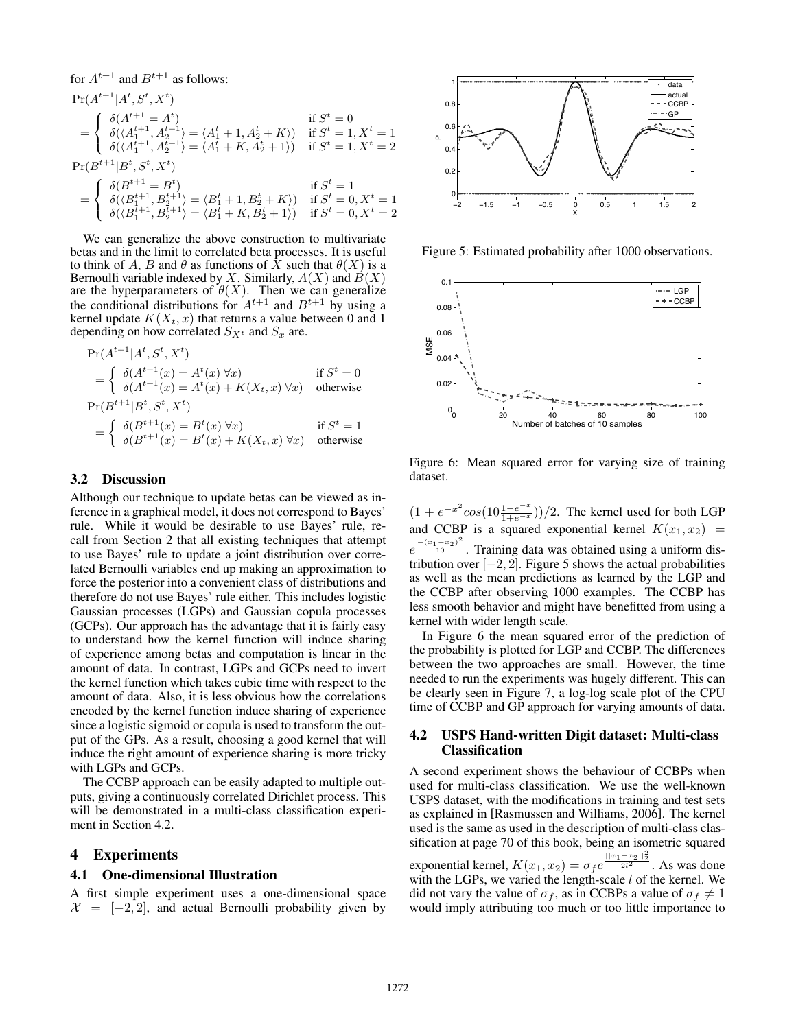for  $A^{t+1}$  and  $B^{t+1}$  as follows:

$$
\Pr(A^{t+1}|A^t, S^t, X^t) = \begin{cases} \delta(A^{t+1} = A^t) & \text{if } S^t = 0 \\ \delta(\langle A_1^{t+1}, A_2^{t+1} \rangle = \langle A_1^t + 1, A_2^t + K \rangle) & \text{if } S^t = 1, X^t = 1 \\ \delta(\langle A_1^{t+1}, A_2^{t+1} \rangle = \langle A_1^t + K, A_2^t + 1 \rangle) & \text{if } S^t = 1, X^t = 2 \end{cases}
$$
\n
$$
\Pr(B^{t+1}|B^t, S^t, X^t)
$$
\n
$$
= \begin{cases} \delta(B^{t+1} = B^t) & \text{if } S^t = 1 \\ \delta(\langle B_1^{t+1}, B_2^{t+1} \rangle = \langle B_1^t + 1, B_2^t + K \rangle) & \text{if } S^t = 0, X^t = 1 \\ \delta(\langle B_1^{t+1}, B_2^{t+1} \rangle = \langle B_1^t + K, B_2^t + 1 \rangle) & \text{if } S^t = 0, X^t = 2 \end{cases}
$$

We can generalize the above construction to multivariate betas and in the limit to correlated beta processes. It is useful to think of A, B and  $\theta$  as functions of  $\dot{X}$  such that  $\theta(X)$  is a Bernoulli variable indexed by X. Similarly,  $A(X)$  and  $B(X)$ are the hyperparameters of  $\theta(X)$ . Then we can generalize the conditional distributions for  $A^{t+1}$  and  $B^{t+1}$  by using a kernel update  $K(X_t, x)$  that returns a value between 0 and 1 depending on how correlated  $S_{X^t}$  and  $S_x$  are.

$$
\Pr(A^{t+1}|A^t, S^t, X^t)
$$
\n
$$
= \begin{cases}\n\delta(A^{t+1}(x) = A^t(x) \,\forall x) & \text{if } S^t = 0 \\
\delta(A^{t+1}(x) = A^t(x) + K(X_t, x) \,\forall x) & \text{otherwise}\n\end{cases}
$$
\n
$$
\Pr(B^{t+1}|B^t, S^t, X^t)
$$
\n
$$
= \begin{cases}\n\delta(B^{t+1}(x) = B^t(x) \,\forall x) & \text{if } S^t = 1 \\
\delta(B^{t+1}(x) = B^t(x) + K(X_t, x) \,\forall x) & \text{otherwise}\n\end{cases}
$$

# 3.2 Discussion

Although our technique to update betas can be viewed as inference in a graphical model, it does not correspond to Bayes' rule. While it would be desirable to use Bayes' rule, recall from Section 2 that all existing techniques that attempt to use Bayes' rule to update a joint distribution over correlated Bernoulli variables end up making an approximation to force the posterior into a convenient class of distributions and therefore do not use Bayes' rule either. This includes logistic Gaussian processes (LGPs) and Gaussian copula processes (GCPs). Our approach has the advantage that it is fairly easy to understand how the kernel function will induce sharing of experience among betas and computation is linear in the amount of data. In contrast, LGPs and GCPs need to invert the kernel function which takes cubic time with respect to the amount of data. Also, it is less obvious how the correlations encoded by the kernel function induce sharing of experience since a logistic sigmoid or copula is used to transform the output of the GPs. As a result, choosing a good kernel that will induce the right amount of experience sharing is more tricky with LGPs and GCPs.

The CCBP approach can be easily adapted to multiple outputs, giving a continuously correlated Dirichlet process. This will be demonstrated in a multi-class classification experiment in Section 4.2.

### 4 Experiments

#### 4.1 One-dimensional Illustration

A first simple experiment uses a one-dimensional space  $\mathcal{X} = [-2, 2]$ , and actual Bernoulli probability given by



Figure 5: Estimated probability after 1000 observations.



Figure 6: Mean squared error for varying size of training dataset.

 $(1 + e^{-x^2} \cos(10 \frac{1-e^{-x}}{1+e^{-x}}))/2$ . The kernel used for both LGP and CCBP is a squared exponential kernel  $K(x_1, x_2) =$ <br> $-(x_1-x_2)^2$ tribution over  $[-2, 2]$ . Figure 5 shows the actual probabilities as well as the mean predictions as learned by the LGP and  $\frac{-(x_1-x_2)^2}{10}$ . Training data was obtained using a uniform disas well as the mean predictions as learned by the LGP and the CCBP after observing 1000 examples. The CCBP has less smooth behavior and might have benefitted from using a kernel with wider length scale.

In Figure 6 the mean squared error of the prediction of the probability is plotted for LGP and CCBP. The differences between the two approaches are small. However, the time needed to run the experiments was hugely different. This can be clearly seen in Figure 7, a log-log scale plot of the CPU time of CCBP and GP approach for varying amounts of data.

# 4.2 USPS Hand-written Digit dataset: Multi-class Classification

A second experiment shows the behaviour of CCBPs when used for multi-class classification. We use the well-known USPS dataset, with the modifications in training and test sets as explained in [Rasmussen and Williams, 2006]. The kernel used is the same as used in the description of multi-class classification at page 70 of this book, being an isometric squared exponential kernel,  $K(x_1, x_2) = \sigma_f e^{\frac{||x_1 - x_2||_2^2}{2l^2}}$ . As was done with the LGPs, we varied the length-scale Lof the kernel. We with the LGPs, we varied the length-scale  $l$  of the kernel. We did not vary the value of  $\sigma_f$ , as in CCBPs a value of  $\sigma_f \neq 1$ would imply attributing too much or too little importance to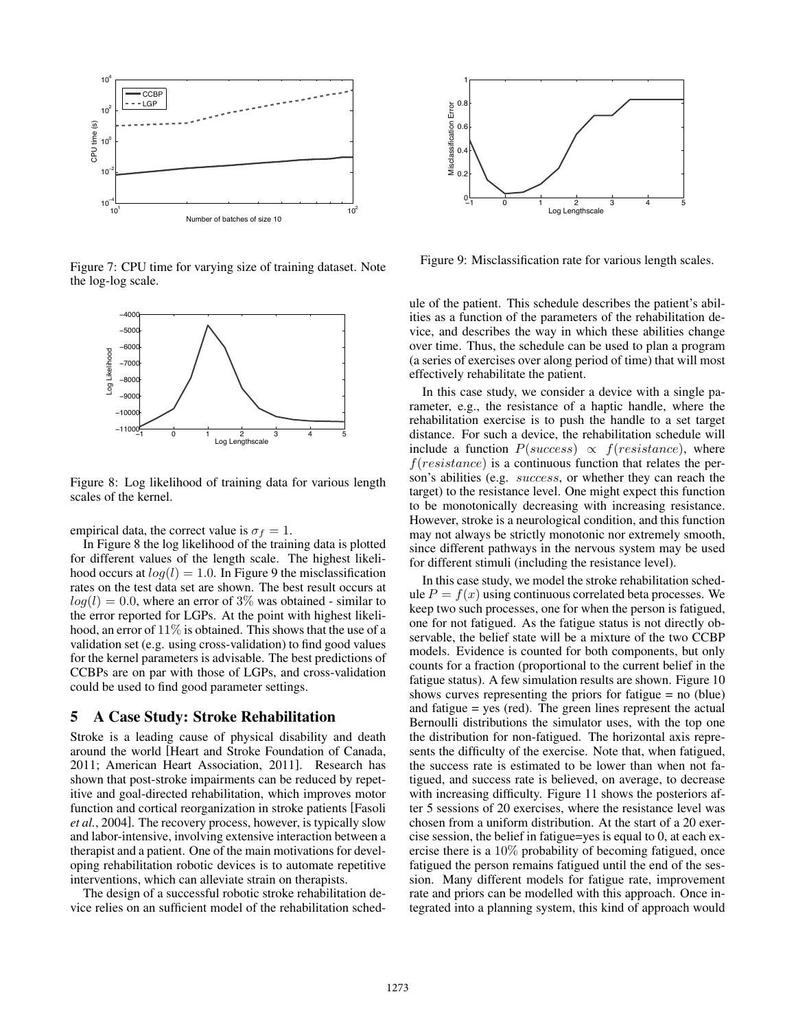

Figure 7: CPU time for varying size of training dataset. Note the log-log scale.



Figure 8: Log likelihood of training data for various length scales of the kernel.

empirical data, the correct value is  $\sigma_f = 1$ .

In Figure 8 the log likelihood of the training data is plotted for different values of the length scale. The highest likelihood occurs at  $log(l) = 1.0$ . In Figure 9 the misclassification rates on the test data set are shown. The best result occurs at  $log(l)=0.0$ , where an error of 3% was obtained - similar to the error reported for LGPs. At the point with highest likelihood, an error of  $11\%$  is obtained. This shows that the use of a validation set (e.g. using cross-validation) to find good values for the kernel parameters is advisable. The best predictions of CCBPs are on par with those of LGPs, and cross-validation could be used to find good parameter settings.

# 5 A Case Study: Stroke Rehabilitation

Stroke is a leading cause of physical disability and death around the world [Heart and Stroke Foundation of Canada, 2011; American Heart Association, 2011]. Research has shown that post-stroke impairments can be reduced by repetitive and goal-directed rehabilitation, which improves motor function and cortical reorganization in stroke patients [Fasoli *et al.*, 2004]. The recovery process, however, is typically slow and labor-intensive, involving extensive interaction between a therapist and a patient. One of the main motivations for developing rehabilitation robotic devices is to automate repetitive interventions, which can alleviate strain on therapists.

The design of a successful robotic stroke rehabilitation device relies on an sufficient model of the rehabilitation sched-



Figure 9: Misclassification rate for various length scales.

ule of the patient. This schedule describes the patient's abilities as a function of the parameters of the rehabilitation device, and describes the way in which these abilities change over time. Thus, the schedule can be used to plan a program (a series of exercises over along period of time) that will most effectively rehabilitate the patient.

In this case study, we consider a device with a single parameter, e.g., the resistance of a haptic handle, where the rehabilitation exercise is to push the handle to a set target distance. For such a device, the rehabilitation schedule will include a function  $P(success) \propto f(resistance)$ , where  $f(resistance)$  is a continuous function that relates the person's abilities (e.g. success, or whether they can reach the target) to the resistance level. One might expect this function to be monotonically decreasing with increasing resistance. However, stroke is a neurological condition, and this function may not always be strictly monotonic nor extremely smooth, since different pathways in the nervous system may be used for different stimuli (including the resistance level).

In this case study, we model the stroke rehabilitation schedule  $P = f(x)$  using continuous correlated beta processes. We keep two such processes, one for when the person is fatigued, one for not fatigued. As the fatigue status is not directly observable, the belief state will be a mixture of the two CCBP models. Evidence is counted for both components, but only counts for a fraction (proportional to the current belief in the fatigue status). A few simulation results are shown. Figure 10 shows curves representing the priors for fatigue = no (blue) and fatigue = yes (red). The green lines represent the actual Bernoulli distributions the simulator uses, with the top one the distribution for non-fatigued. The horizontal axis represents the difficulty of the exercise. Note that, when fatigued, the success rate is estimated to be lower than when not fatigued, and success rate is believed, on average, to decrease with increasing difficulty. Figure 11 shows the posteriors after 5 sessions of 20 exercises, where the resistance level was chosen from a uniform distribution. At the start of a 20 exercise session, the belief in fatigue=yes is equal to 0, at each exercise there is a 10% probability of becoming fatigued, once fatigued the person remains fatigued until the end of the session. Many different models for fatigue rate, improvement rate and priors can be modelled with this approach. Once integrated into a planning system, this kind of approach would